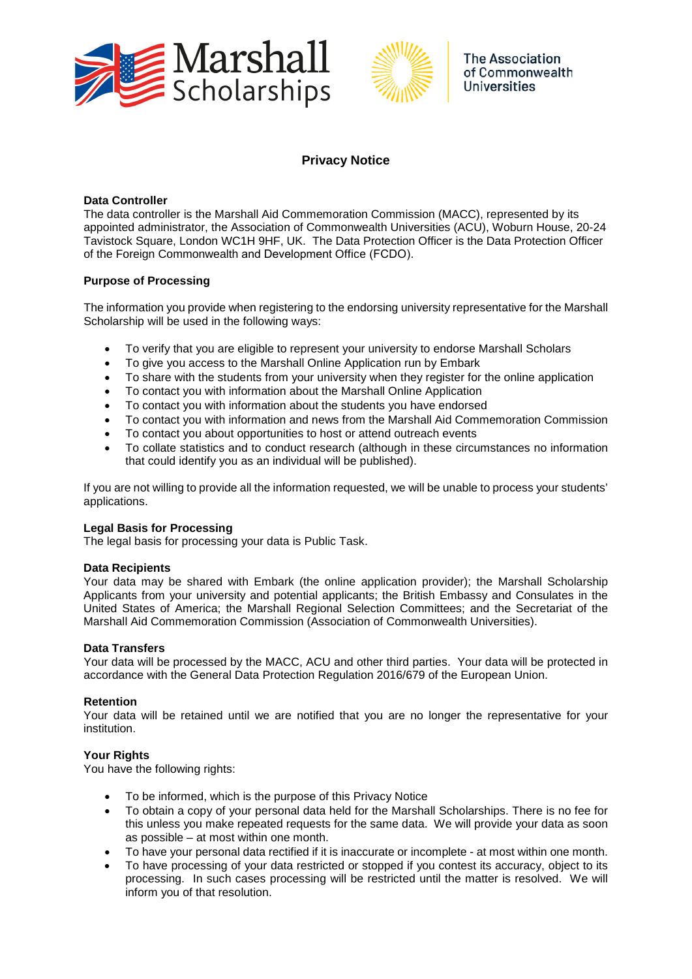



# **Privacy Notice**

### **Data Controller**

The data controller is the Marshall Aid Commemoration Commission (MACC), represented by its appointed administrator, the Association of Commonwealth Universities (ACU), Woburn House, 20-24 Tavistock Square, London WC1H 9HF, UK. The Data Protection Officer is the Data Protection Officer of the Foreign Commonwealth and Development Office (FCDO).

## **Purpose of Processing**

The information you provide when registering to the endorsing university representative for the Marshall Scholarship will be used in the following ways:

- To verify that you are eligible to represent your university to endorse Marshall Scholars
- To give you access to the Marshall Online Application run by Embark
- To share with the students from your university when they register for the online application
- To contact you with information about the Marshall Online Application
- To contact you with information about the students you have endorsed
- To contact you with information and news from the Marshall Aid Commemoration Commission
- To contact you about opportunities to host or attend outreach events
- To collate statistics and to conduct research (although in these circumstances no information that could identify you as an individual will be published).

If you are not willing to provide all the information requested, we will be unable to process your students' applications.

#### **Legal Basis for Processing**

The legal basis for processing your data is Public Task.

#### **Data Recipients**

Your data may be shared with Embark (the online application provider); the Marshall Scholarship Applicants from your university and potential applicants; the British Embassy and Consulates in the United States of America; the Marshall Regional Selection Committees; and the Secretariat of the Marshall Aid Commemoration Commission (Association of Commonwealth Universities).

## **Data Transfers**

Your data will be processed by the MACC, ACU and other third parties. Your data will be protected in accordance with the General Data Protection Regulation 2016/679 of the European Union.

#### **Retention**

Your data will be retained until we are notified that you are no longer the representative for your institution.

## **Your Rights**

You have the following rights:

- To be informed, which is the purpose of this Privacy Notice
- To obtain a copy of your personal data held for the Marshall Scholarships. There is no fee for this unless you make repeated requests for the same data. We will provide your data as soon as possible – at most within one month.
- To have your personal data rectified if it is inaccurate or incomplete at most within one month.
- To have processing of your data restricted or stopped if you contest its accuracy, object to its processing. In such cases processing will be restricted until the matter is resolved. We will inform you of that resolution.